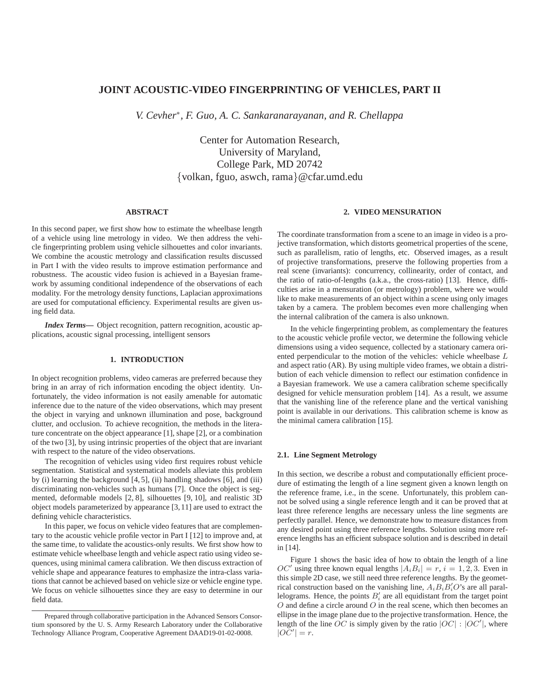# **JOINT ACOUSTIC-VIDEO FINGERPRINTING OF VEHICLES, PART II**

*V. Cevher*<sup>∗</sup> *, F. Guo, A. C. Sankaranarayanan, and R. Chellappa*

Center for Automation Research, University of Maryland, College Park, MD 20742 {volkan, fguo, aswch, rama}@cfar.umd.edu

### **ABSTRACT**

In this second paper, we first show how to estimate the wheelbase length of a vehicle using line metrology in video. We then address the vehicle fingerprinting problem using vehicle silhouettes and color invariants. We combine the acoustic metrology and classification results discussed in Part I with the video results to improve estimation performance and robustness. The acoustic video fusion is achieved in a Bayesian framework by assuming conditional independence of the observations of each modality. For the metrology density functions, Laplacian approximations are used for computational efficiency. Experimental results are given using field data.

*Index Terms***—** Object recognition, pattern recognition, acoustic applications, acoustic signal processing, intelligent sensors

## **1. INTRODUCTION**

In object recognition problems, video cameras are preferred because they bring in an array of rich information encoding the object identity. Unfortunately, the video information is not easily amenable for automatic inference due to the nature of the video observations, which may present the object in varying and unknown illumination and pose, background clutter, and occlusion. To achieve recognition, the methods in the literature concentrate on the object appearance [1], shape [2], or a combination of the two [3], by using intrinsic properties of the object that are invariant with respect to the nature of the video observations.

The recognition of vehicles using video first requires robust vehicle segmentation. Statistical and systematical models alleviate this problem by (i) learning the background [4, 5], (ii) handling shadows [6], and (iii) discriminating non-vehicles such as humans [7]. Once the object is segmented, deformable models [2, 8], silhouettes [9, 10], and realistic 3D object models parameterized by appearance [3,11] are used to extract the defining vehicle characteristics.

In this paper, we focus on vehicle video features that are complementary to the acoustic vehicle profile vector in Part I [12] to improve and, at the same time, to validate the acoustics-only results. We first show how to estimate vehicle wheelbase length and vehicle aspect ratio using video sequences, using minimal camera calibration. We then discuss extraction of vehicle shape and appearance features to emphasize the intra-class variations that cannot be achieved based on vehicle size or vehicle engine type. We focus on vehicle silhouettes since they are easy to determine in our field data.

### **2. VIDEO MENSURATION**

The coordinate transformation from a scene to an image in video is a projective transformation, which distorts geometrical properties of the scene, such as parallelism, ratio of lengths, etc. Observed images, as a result of projective transformations, preserve the following properties from a real scene (invariants): concurrency, collinearity, order of contact, and the ratio of ratio-of-lengths (a.k.a., the cross-ratio) [13]. Hence, difficulties arise in a mensuration (or metrology) problem, where we would like to make measurements of an object within a scene using only images taken by a camera. The problem becomes even more challenging when the internal calibration of the camera is also unknown.

In the vehicle fingerprinting problem, as complementary the features to the acoustic vehicle profile vector, we determine the following vehicle dimensions using a video sequence, collected by a stationary camera oriented perpendicular to the motion of the vehicles: vehicle wheelbase L and aspect ratio (AR). By using multiple video frames, we obtain a distribution of each vehicle dimension to reflect our estimation confidence in a Bayesian framework. We use a camera calibration scheme specifically designed for vehicle mensuration problem [14]. As a result, we assume that the vanishing line of the reference plane and the vertical vanishing point is available in our derivations. This calibration scheme is know as the minimal camera calibration [15].

## **2.1. Line Segment Metrology**

In this section, we describe a robust and computationally efficient procedure of estimating the length of a line segment given a known length on the reference frame, i.e., in the scene. Unfortunately, this problem cannot be solved using a single reference length and it can be proved that at least three reference lengths are necessary unless the line segments are perfectly parallel. Hence, we demonstrate how to measure distances from any desired point using three reference lengths. Solution using more reference lengths has an efficient subspace solution and is described in detail in [14].

Figure 1 shows the basic idea of how to obtain the length of a line OC' using three known equal lengths  $|A_i B_i| = r$ ,  $i = 1, 2, 3$ . Even in this simple 2D case, we still need three reference lengths. By the geometrical construction based on the vanishing line,  $A_i B_i B_i' O$ 's are all parallelograms. Hence, the points  $B'_i$  are all equidistant from the target point  $O$  and define a circle around  $O$  in the real scene, which then becomes an ellipse in the image plane due to the projective transformation. Hence, the length of the line OC is simply given by the ratio  $|OC|$  :  $|OC'|$ , where  $|\tilde{OC'}| = r$ .

Prepared through collaborative participation in the Advanced Sensors Consortium sponsored by the U. S. Army Research Laboratory under the Collaborative Technology Alliance Program, Cooperative Agreement DAAD19-01-02-0008.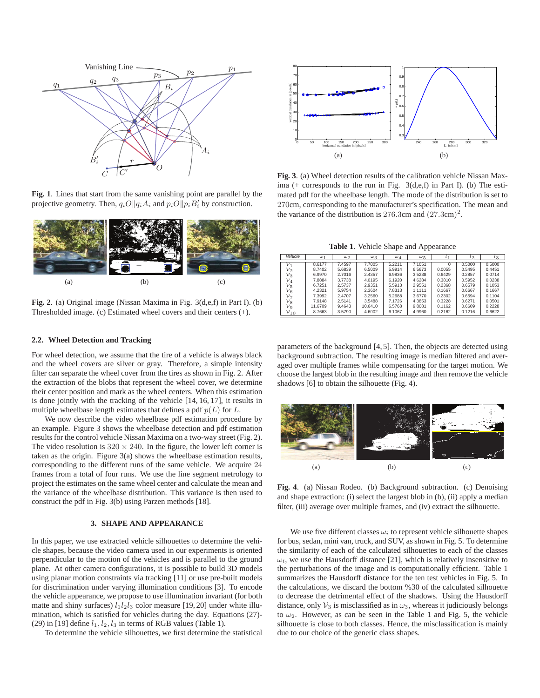

**Fig. 1**. Lines that start from the same vanishing point are parallel by the projective geometry. Then,  $q_i O || q_i A_i$  and  $p_i O || p_i B'_i$  by construction.



**Fig. 2**. (a) Original image (Nissan Maxima in Fig. 3(d,e,f) in Part I). (b) Thresholded image. (c) Estimated wheel covers and their centers (+).

#### **2.2. Wheel Detection and Tracking**

For wheel detection, we assume that the tire of a vehicle is always black and the wheel covers are silver or gray. Therefore, a simple intensity filter can separate the wheel cover from the tires as shown in Fig. 2. After the extraction of the blobs that represent the wheel cover, we determine their center position and mark as the wheel centers. When this estimation is done jointly with the tracking of the vehicle [14, 16, 17], it results in multiple wheelbase length estimates that defines a pdf  $p(L)$  for L.

We now describe the video wheelbase pdf estimation procedure by an example. Figure 3 shows the wheelbase detection and pdf estimation results for the control vehicle Nissan Maxima on a two-way street (Fig. 2). The video resolution is  $320 \times 240$ . In the figure, the lower left corner is taken as the origin. Figure 3(a) shows the wheelbase estimation results, corresponding to the different runs of the same vehicle. We acquire 24 frames from a total of four runs. We use the line segment metrology to project the estimates on the same wheel center and calculate the mean and the variance of the wheelbase distribution. This variance is then used to construct the pdf in Fig. 3(b) using Parzen methods [18].

## **3. SHAPE AND APPEARANCE**

In this paper, we use extracted vehicle silhouettes to determine the vehicle shapes, because the video camera used in our experiments is oriented perpendicular to the motion of the vehicles and is parallel to the ground plane. At other camera configurations, it is possible to build 3D models using planar motion constraints via tracking [11] or use pre-built models for discrimination under varying illumination conditions [3]. To encode the vehicle appearance, we propose to use illumination invariant (for both matte and shiny surfaces)  $l_1l_2l_3$  color measure [19, 20] under white illumination, which is satisfied for vehicles during the day. Equations (27)- (29) in [19] define  $l_1, l_2, l_3$  in terms of RGB values (Table 1).

To determine the vehicle silhouettes, we first determine the statistical



**Fig. 3**. (a) Wheel detection results of the calibration vehicle Nissan Maxima (+ corresponds to the run in Fig. 3(d,e,f) in Part I). (b) The estimated pdf for the wheelbase length. The mode of the distribution is set to 270cm, corresponding to the manufacturer's specification. The mean and the variance of the distribution is  $276.3$ cm and  $(27.3cm)^2$ .

**Table 1**. Vehicle Shape and Appearance

|                 |            |            |            |            | . .          |          |           |              |
|-----------------|------------|------------|------------|------------|--------------|----------|-----------|--------------|
| Vehicle         | $\omega_1$ | $\omega_2$ | $\omega_3$ | $\omega_4$ | $\omega_{5}$ | $l_{1}$  | $\iota_2$ | $^{\iota_3}$ |
| $\mathcal{V}_1$ | 8.6177     | 7.4597     | 7.7005     | 5.2211     | 7.1051       | $\Omega$ | 0.5000    | 0.5000       |
| $v_{2}$         | 8.7402     | 5.6839     | 6.5009     | 5.9914     | 6.5673       | 0.0055   | 0.5495    | 0.4451       |
| $v_3$           | 6.9970     | 2.7016     | 2.4357     | 6.9836     | 3.5238       | 0.6429   | 0.2857    | 0.0714       |
| $v_4$           | 7.8884     | 3.7738     | 4.0195     | 6.1920     | 4.6284       | 0.3810   | 0.5952    | 0.0238       |
| ${\nu}_5$       | 6.7251     | 2.5737     | 2.9351     | 5.5913     | 2.9551       | 0.2368   | 0.6579    | 0.1053       |
| $v_6$           | 4.2321     | 5.9754     | 2.3604     | 7.8313     | 1.1111       | 0.1667   | 0.6667    | 0.1667       |
| $v_{\tau}$      | 7.3992     | 2.4707     | 3.2560     | 5.2688     | 3.6770       | 0.2302   | 0.6594    | 0.1104       |
| $\nu_8$         | 7.9148     | 2.5141     | 3.5488     | 7.1726     | 4.3853       | 0.3228   | 0.6271    | 0.0501       |
| $v_9$           | 11.6709    | 9.4643     | 10.6410    | 6.5768     | 9.8081       | 0.1162   | 0.6609    | 0.2228       |
| $v_{10}$        | 8.7663     | 3.5790     | 4.6002     | 6.1067     | 4.9960       | 0.2162   | 0.1216    | 0.6622       |

parameters of the background [4, 5]. Then, the objects are detected using background subtraction. The resulting image is median filtered and averaged over multiple frames while compensating for the target motion. We choose the largest blob in the resulting image and then remove the vehicle shadows [6] to obtain the silhouette (Fig. 4).



**Fig. 4**. (a) Nissan Rodeo. (b) Background subtraction. (c) Denoising and shape extraction: (i) select the largest blob in (b), (ii) apply a median filter, (iii) average over multiple frames, and (iv) extract the silhouette.

We use five different classes  $\omega_i$  to represent vehicle silhouette shapes for bus, sedan, mini van, truck, and SUV, as shown in Fig. 5. To determine the similarity of each of the calculated silhouettes to each of the classes  $\omega_i$ , we use the Hausdorff distance [21], which is relatively insensitive to the perturbations of the image and is computationally efficient. Table 1 summarizes the Hausdorff distance for the ten test vehicles in Fig. 5. In the calculations, we discard the bottom %30 of the calculated silhouette to decrease the detrimental effect of the shadows. Using the Hausdorff distance, only  $\mathcal{V}_3$  is misclassified as in  $\omega_3$ , whereas it judiciously belongs to  $\omega_2$ . However, as can be seen in the Table 1 and Fig. 5, the vehicle silhouette is close to both classes. Hence, the misclassification is mainly due to our choice of the generic class shapes.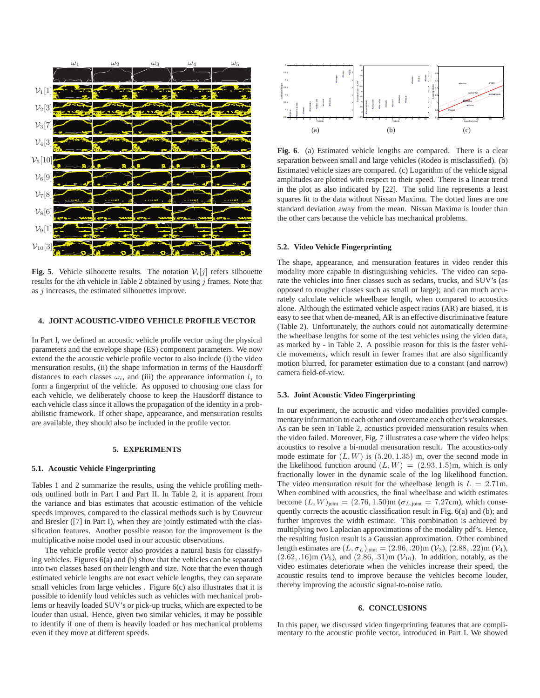

**Fig. 5**. Vehicle silhouette results. The notation  $V_i[j]$  refers silhouette results for the *i*th vehicle in Table 2 obtained by using  $j$  frames. Note that as  $j$  increases, the estimated silhouettes improve.

## **4. JOINT ACOUSTIC-VIDEO VEHICLE PROFILE VECTOR**

In Part I, we defined an acoustic vehicle profile vector using the physical parameters and the envelope shape (ES) component parameters. We now extend the the acoustic vehicle profile vector to also include (i) the video mensuration results, (ii) the shape information in terms of the Hausdorff distances to each classes  $\omega_i$ , and (iii) the appearance information  $l_i$  to form a fingerprint of the vehicle. As opposed to choosing one class for each vehicle, we deliberately choose to keep the Hausdorff distance to each vehicle class since it allows the propagation of the identity in a probabilistic framework. If other shape, appearance, and mensuration results are available, they should also be included in the profile vector.

### **5. EXPERIMENTS**

#### **5.1. Acoustic Vehicle Fingerprinting**

Tables 1 and 2 summarize the results, using the vehicle profiling methods outlined both in Part I and Part II. In Table 2, it is apparent from the variance and bias estimates that acoustic estimation of the vehicle speeds improves, compared to the classical methods such is by Couvreur and Bresler ([7] in Part I), when they are jointly estimated with the classification features. Another possible reason for the improvement is the multiplicative noise model used in our acoustic observations.

The vehicle profile vector also provides a natural basis for classifying vehicles. Figures 6(a) and (b) show that the vehicles can be separated into two classes based on their length and size. Note that the even though estimated vehicle lengths are not exact vehicle lengths, they can separate small vehicles from large vehicles . Figure 6(c) also illustrates that it is possible to identify loud vehicles such as vehicles with mechanical problems or heavily loaded SUV's or pick-up trucks, which are expected to be louder than usual. Hence, given two similar vehicles, it may be possible to identify if one of them is heavily loaded or has mechanical problems even if they move at different speeds.



**Fig. 6**. (a) Estimated vehicle lengths are compared. There is a clear separation between small and large vehicles (Rodeo is misclassified). (b) Estimated vehicle sizes are compared. (c) Logarithm of the vehicle signal amplitudes are plotted with respect to their speed. There is a linear trend in the plot as also indicated by [22]. The solid line represents a least squares fit to the data without Nissan Maxima. The dotted lines are one standard deviation away from the mean. Nissan Maxima is louder than the other cars because the vehicle has mechanical problems.

### **5.2. Video Vehicle Fingerprinting**

The shape, appearance, and mensuration features in video render this modality more capable in distinguishing vehicles. The video can separate the vehicles into finer classes such as sedans, trucks, and SUV's (as opposed to rougher classes such as small or large); and can much accurately calculate vehicle wheelbase length, when compared to acoustics alone. Although the estimated vehicle aspect ratios (AR) are biased, it is easy to see that when de-meaned, AR is an effective discriminative feature (Table 2). Unfortunately, the authors could not automatically determine the wheelbase lengths for some of the test vehicles using the video data, as marked by - in Table 2. A possible reason for this is the faster vehicle movements, which result in fewer frames that are also significantly motion blurred, for parameter estimation due to a constant (and narrow) camera field-of-view.

#### **5.3. Joint Acoustic Video Fingerprinting**

In our experiment, the acoustic and video modalities provided complementary information to each other and overcame each other's weaknesses. As can be seen in Table 2, acoustics provided mensuration results when the video failed. Moreover, Fig. 7 illustrates a case where the video helps acoustics to resolve a bi-modal mensuration result. The acoustics-only mode estimate for  $(L, W)$  is  $(5.20, 1.35)$  m, over the second mode in the likelihood function around  $(L, W) = (2.93, 1.5)$ m, which is only fractionally lower in the dynamic scale of the log likelihood function. The video mensuration result for the wheelbase length is  $L = 2.71$ m. When combined with acoustics, the final wheelbase and width estimates become  $(L, W)_{joint} = (2.76, 1.50)$ m ( $\sigma_{L, joint} = 7.27$ cm), which consequently corrects the acoustic classification result in Fig. 6(a) and (b); and further improves the width estimate. This combination is achieved by multiplying two Laplacian approximations of the modality pdf's. Hence, the resulting fusion result is a Gaussian approximation. Other combined length estimates are  $(L, \sigma_L)_{joint} = (2.96, .20)$ m ( $V_3$ ),  $(2.88, .22)$ m ( $V_4$ ),  $(2.62, .16)$ m ( $V_5$ ), and  $(2.86, .31)$ m ( $V_{10}$ ). In addition, notably, as the video estimates deteriorate when the vehicles increase their speed, the acoustic results tend to improve because the vehicles become louder, thereby improving the acoustic signal-to-noise ratio.

#### **6. CONCLUSIONS**

In this paper, we discussed video fingerprinting features that are complimentary to the acoustic profile vector, introduced in Part I. We showed